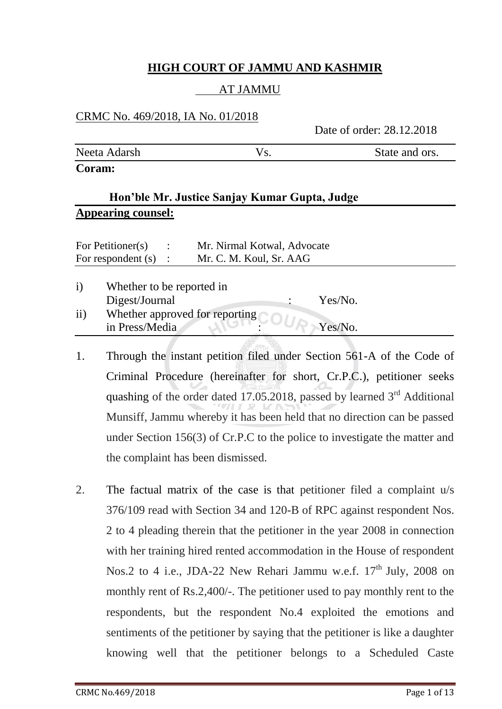## **HIGH COURT OF JAMMU AND KASHMIR**

## AT JAMMU

## CRMC No. 469/2018, IA No. 01/2018

Date of order: 28.12.2018

| Neeta Adarsh | State and ors. |
|--------------|----------------|
| Coram:       |                |

## **Hon'ble Mr. Justice Sanjay Kumar Gupta, Judge Appearing counsel:**

| For Petitioner(s)    |                           | $\ddot{\cdot}$ | Mr. Nirmal Kotwal, Advocate    |         |  |
|----------------------|---------------------------|----------------|--------------------------------|---------|--|
| For respondent $(s)$ |                           |                | Mr. C. M. Koul, Sr. AAG        |         |  |
| $\rm i)$             | Whether to be reported in |                |                                |         |  |
|                      |                           |                |                                | Yes/No. |  |
|                      | Digest/Journal            |                |                                |         |  |
| $\rm ii)$            |                           |                | Whether approved for reporting |         |  |
|                      | in Press/Media            |                |                                | Yes/No. |  |

- 1. Through the instant petition filed under Section 561-A of the Code of Criminal Procedure (hereinafter for short, Cr.P.C.), petitioner seeks quashing of the order dated 17.05.2018, passed by learned  $3<sup>rd</sup>$  Additional Munsiff, Jammu whereby it has been held that no direction can be passed under Section 156(3) of Cr.P.C to the police to investigate the matter and the complaint has been dismissed.
- 2. The factual matrix of the case is that petitioner filed a complaint u/s 376/109 read with Section 34 and 120-B of RPC against respondent Nos. 2 to 4 pleading therein that the petitioner in the year 2008 in connection with her training hired rented accommodation in the House of respondent Nos.2 to 4 i.e., JDA-22 New Rehari Jammu w.e.f.  $17<sup>th</sup>$  July, 2008 on monthly rent of Rs.2,400/-. The petitioner used to pay monthly rent to the respondents, but the respondent No.4 exploited the emotions and sentiments of the petitioner by saying that the petitioner is like a daughter knowing well that the petitioner belongs to a Scheduled Caste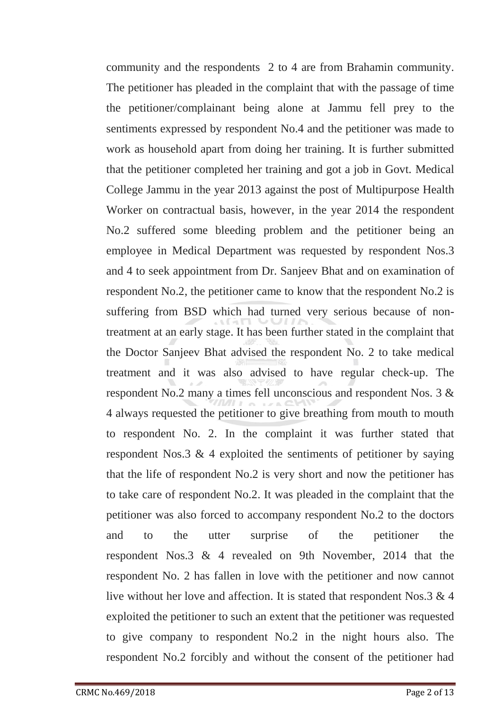community and the respondents 2 to 4 are from Brahamin community. The petitioner has pleaded in the complaint that with the passage of time the petitioner/complainant being alone at Jammu fell prey to the sentiments expressed by respondent No.4 and the petitioner was made to work as household apart from doing her training. It is further submitted that the petitioner completed her training and got a job in Govt. Medical College Jammu in the year 2013 against the post of Multipurpose Health Worker on contractual basis, however, in the year 2014 the respondent No.2 suffered some bleeding problem and the petitioner being an employee in Medical Department was requested by respondent Nos.3 and 4 to seek appointment from Dr. Sanjeev Bhat and on examination of respondent No.2, the petitioner came to know that the respondent No.2 is suffering from BSD which had turned very serious because of nontreatment at an early stage. It has been further stated in the complaint that the Doctor Sanjeev Bhat advised the respondent No. 2 to take medical treatment and it was also advised to have regular check-up. The respondent No.2 many a times fell unconscious and respondent Nos. 3 & 4 always requested the petitioner to give breathing from mouth to mouth to respondent No. 2. In the complaint it was further stated that respondent Nos.3 & 4 exploited the sentiments of petitioner by saying that the life of respondent No.2 is very short and now the petitioner has to take care of respondent No.2. It was pleaded in the complaint that the petitioner was also forced to accompany respondent No.2 to the doctors and to the utter surprise of the petitioner the respondent Nos.3 & 4 revealed on 9th November, 2014 that the respondent No. 2 has fallen in love with the petitioner and now cannot live without her love and affection. It is stated that respondent Nos.3 & 4 exploited the petitioner to such an extent that the petitioner was requested to give company to respondent No.2 in the night hours also. The respondent No.2 forcibly and without the consent of the petitioner had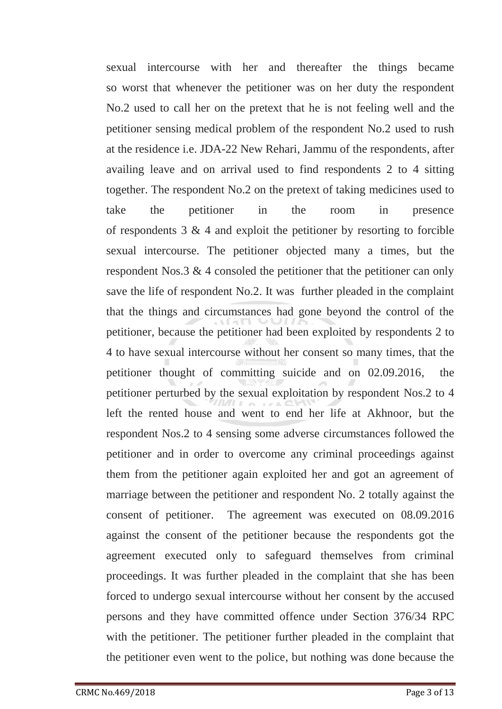sexual intercourse with her and thereafter the things became so worst that whenever the petitioner was on her duty the respondent No.2 used to call her on the pretext that he is not feeling well and the petitioner sensing medical problem of the respondent No.2 used to rush at the residence i.e. JDA-22 New Rehari, Jammu of the respondents, after availing leave and on arrival used to find respondents 2 to 4 sitting together. The respondent No.2 on the pretext of taking medicines used to take the petitioner in the room in presence of respondents  $3 \& 4$  and exploit the petitioner by resorting to forcible sexual intercourse. The petitioner objected many a times, but the respondent Nos.3 & 4 consoled the petitioner that the petitioner can only save the life of respondent No.2. It was further pleaded in the complaint that the things and circumstances had gone beyond the control of the petitioner, because the petitioner had been exploited by respondents 2 to 4 to have sexual intercourse without her consent so many times, that the petitioner thought of committing suicide and on 02.09.2016, the petitioner perturbed by the sexual exploitation by respondent Nos.2 to 4 left the rented house and went to end her life at Akhnoor, but the respondent Nos.2 to 4 sensing some adverse circumstances followed the petitioner and in order to overcome any criminal proceedings against them from the petitioner again exploited her and got an agreement of marriage between the petitioner and respondent No. 2 totally against the consent of petitioner. The agreement was executed on 08.09.2016 against the consent of the petitioner because the respondents got the agreement executed only to safeguard themselves from criminal proceedings. It was further pleaded in the complaint that she has been forced to undergo sexual intercourse without her consent by the accused persons and they have committed offence under Section 376/34 RPC with the petitioner. The petitioner further pleaded in the complaint that the petitioner even went to the police, but nothing was done because the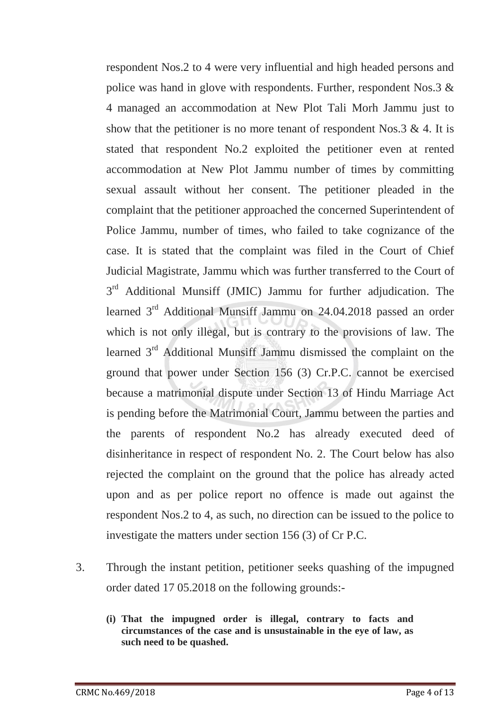respondent Nos.2 to 4 were very influential and high headed persons and police was hand in glove with respondents. Further, respondent Nos.3 & 4 managed an accommodation at New Plot Tali Morh Jammu just to show that the petitioner is no more tenant of respondent Nos.  $3 \& 4$ . It is stated that respondent No.2 exploited the petitioner even at rented accommodation at New Plot Jammu number of times by committing sexual assault without her consent. The petitioner pleaded in the complaint that the petitioner approached the concerned Superintendent of Police Jammu, number of times, who failed to take cognizance of the case. It is stated that the complaint was filed in the Court of Chief Judicial Magistrate, Jammu which was further transferred to the Court of 3<sup>rd</sup> Additional Munsiff (JMIC) Jammu for further adjudication. The learned 3<sup>rd</sup> Additional Munsiff Jammu on 24.04.2018 passed an order which is not only illegal, but is contrary to the provisions of law. The learned 3rd Additional Munsiff Jammu dismissed the complaint on the ground that power under Section 156 (3) Cr.P.C. cannot be exercised because a matrimonial dispute under Section 13 of Hindu Marriage Act is pending before the Matrimonial Court, Jammu between the parties and the parents of respondent No.2 has already executed deed of disinheritance in respect of respondent No. 2. The Court below has also rejected the complaint on the ground that the police has already acted upon and as per police report no offence is made out against the respondent Nos.2 to 4, as such, no direction can be issued to the police to investigate the matters under section 156 (3) of Cr P.C.

- 3. Through the instant petition, petitioner seeks quashing of the impugned order dated 17 05.2018 on the following grounds:-
	- **(i) That the impugned order is illegal, contrary to facts and circumstances of the case and is unsustainable in the eye of law, as such need to be quashed.**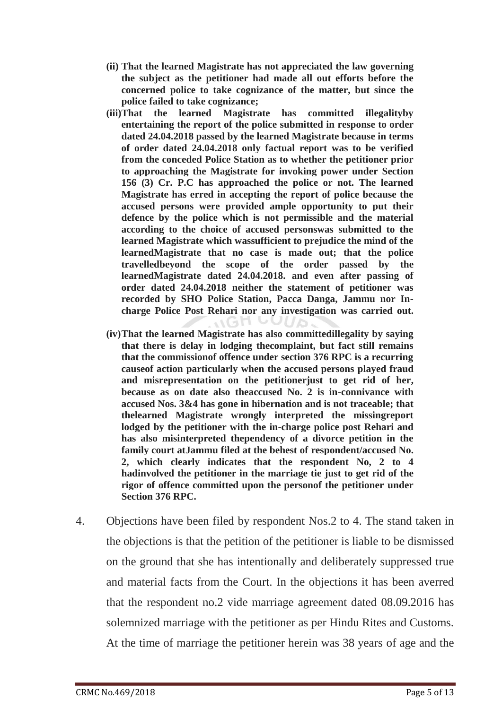- **(ii) That the learned Magistrate has not appreciated the law governing the subject as the petitioner had made all out efforts before the concerned police to take cognizance of the matter, but since the police failed to take cognizance;**
- **(iii)That the learned Magistrate has committed illegalityby entertaining the report of the police submitted in response to order dated 24.04.2018 passed by the learned Magistrate because in terms of order dated 24.04.2018 only factual report was to be verified from the conceded Police Station as to whether the petitioner prior to approaching the Magistrate for invoking power under Section 156 (3) Cr. P.C has approached the police or not. The learned Magistrate has erred in accepting the report of police because the accused persons were provided ample opportunity to put their defence by the police which is not permissible and the material according to the choice of accused personswas submitted to the learned Magistrate which wassufficient to prejudice the mind of the learnedMagistrate that no case is made out; that the police travelledbeyond the scope of the order passed by the learnedMagistrate dated 24.04.2018. and even after passing of order dated 24.04.2018 neither the statement of petitioner was recorded by SHO Police Station, Pacca Danga, Jammu nor Incharge Police Post Rehari nor any investigation was carried out.**
- **(iv)That the learned Magistrate has also committedillegality by saying that there is delay in lodging thecomplaint, but fact still remains that the commissionof offence under section 376 RPC is a recurring causeof action particularly when the accused persons played fraud and misrepresentation on the petitionerjust to get rid of her, because as on date also theaccused No. 2 is in-connivance with accused Nos. 3&4 has gone in hibernation and is not traceable; that thelearned Magistrate wrongly interpreted the missingreport lodged by the petitioner with the in-charge police post Rehari and has also misinterpreted thependency of a divorce petition in the family court atJammu filed at the behest of respondent/accused No. 2, which clearly indicates that the respondent No, 2 to 4 hadinvolved the petitioner in the marriage tie just to get rid of the rigor of offence committed upon the personof the petitioner under Section 376 RPC.**
- 4. Objections have been filed by respondent Nos.2 to 4. The stand taken in the objections is that the petition of the petitioner is liable to be dismissed on the ground that she has intentionally and deliberately suppressed true and material facts from the Court. In the objections it has been averred that the respondent no.2 vide marriage agreement dated 08.09.2016 has solemnized marriage with the petitioner as per Hindu Rites and Customs. At the time of marriage the petitioner herein was 38 years of age and the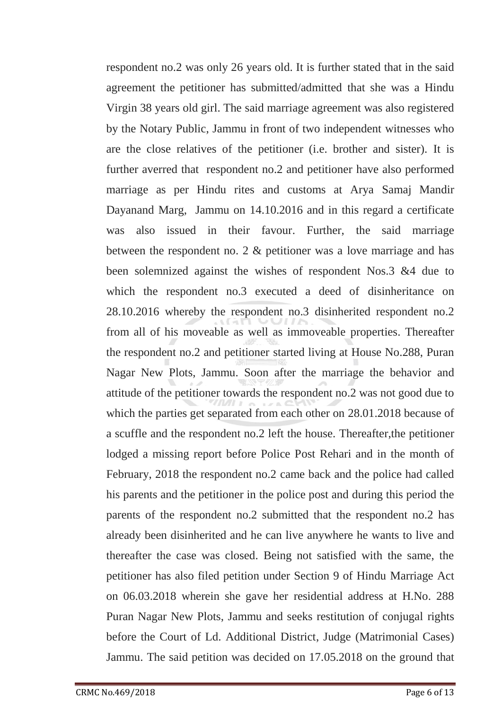respondent no.2 was only 26 years old. It is further stated that in the said agreement the petitioner has submitted/admitted that she was a Hindu Virgin 38 years old girl. The said marriage agreement was also registered by the Notary Public, Jammu in front of two independent witnesses who are the close relatives of the petitioner (i.e. brother and sister). It is further averred that respondent no.2 and petitioner have also performed marriage as per Hindu rites and customs at Arya Samaj Mandir Dayanand Marg, Jammu on 14.10.2016 and in this regard a certificate was also issued in their favour. Further, the said marriage between the respondent no. 2 & petitioner was a love marriage and has been solemnized against the wishes of respondent Nos.3 &4 due to which the respondent no.3 executed a deed of disinheritance on 28.10.2016 whereby the respondent no.3 disinherited respondent no.2 from all of his moveable as well as immoveable properties. Thereafter the respondent no.2 and petitioner started living at House No.288, Puran Nagar New Plots, Jammu. Soon after the marriage the behavior and attitude of the petitioner towards the respondent no.2 was not good due to which the parties get separated from each other on 28.01.2018 because of a scuffle and the respondent no.2 left the house. Thereafter,the petitioner lodged a missing report before Police Post Rehari and in the month of February, 2018 the respondent no.2 came back and the police had called his parents and the petitioner in the police post and during this period the parents of the respondent no.2 submitted that the respondent no.2 has already been disinherited and he can live anywhere he wants to live and thereafter the case was closed. Being not satisfied with the same, the petitioner has also filed petition under Section 9 of Hindu Marriage Act on 06.03.2018 wherein she gave her residential address at H.No. 288 Puran Nagar New Plots, Jammu and seeks restitution of conjugal rights before the Court of Ld. Additional District, Judge (Matrimonial Cases) Jammu. The said petition was decided on 17.05.2018 on the ground that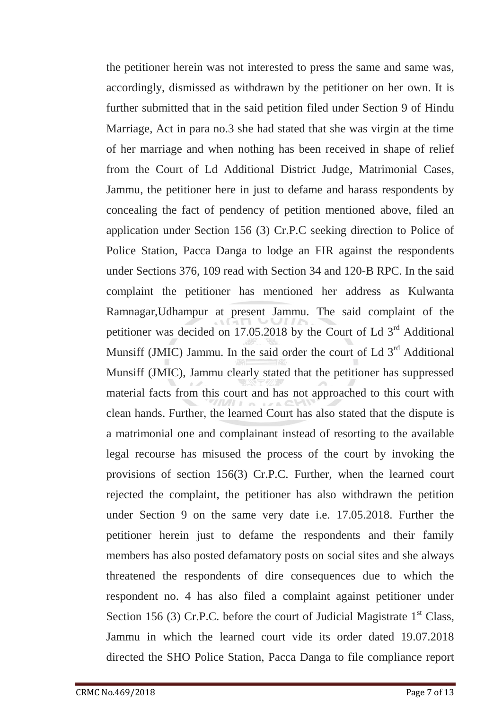the petitioner herein was not interested to press the same and same was, accordingly, dismissed as withdrawn by the petitioner on her own. It is further submitted that in the said petition filed under Section 9 of Hindu Marriage, Act in para no.3 she had stated that she was virgin at the time of her marriage and when nothing has been received in shape of relief from the Court of Ld Additional District Judge, Matrimonial Cases, Jammu, the petitioner here in just to defame and harass respondents by concealing the fact of pendency of petition mentioned above, filed an application under Section 156 (3) Cr.P.C seeking direction to Police of Police Station, Pacca Danga to lodge an FIR against the respondents under Sections 376, 109 read with Section 34 and 120-B RPC. In the said complaint the petitioner has mentioned her address as Kulwanta Ramnagar,Udhampur at present Jammu. The said complaint of the petitioner was decided on 17.05.2018 by the Court of Ld 3<sup>rd</sup> Additional Munsiff (JMIC) Jammu. In the said order the court of Ld 3<sup>rd</sup> Additional Munsiff (JMIC), Jammu clearly stated that the petitioner has suppressed material facts from this court and has not approached to this court with clean hands. Further, the learned Court has also stated that the dispute is a matrimonial one and complainant instead of resorting to the available legal recourse has misused the process of the court by invoking the provisions of section 156(3) Cr.P.C. Further, when the learned court rejected the complaint, the petitioner has also withdrawn the petition under Section 9 on the same very date i.e. 17.05.2018. Further the petitioner herein just to defame the respondents and their family members has also posted defamatory posts on social sites and she always threatened the respondents of dire consequences due to which the respondent no. 4 has also filed a complaint against petitioner under Section 156 (3) Cr.P.C. before the court of Judicial Magistrate  $1<sup>st</sup>$  Class, Jammu in which the learned court vide its order dated 19.07.2018 directed the SHO Police Station, Pacca Danga to file compliance report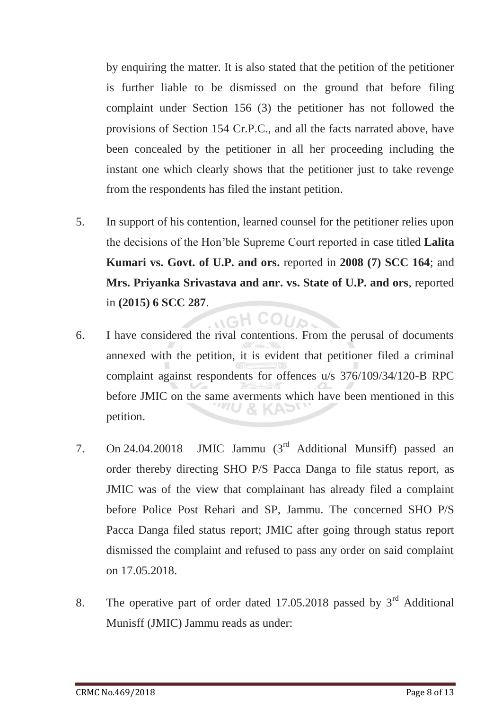by enquiring the matter. It is also stated that the petition of the petitioner is further liable to be dismissed on the ground that before filing complaint under Section 156 (3) the petitioner has not followed the provisions of Section 154 Cr.P.C., and all the facts narrated above, have been concealed by the petitioner in all her proceeding including the instant one which clearly shows that the petitioner just to take revenge from the respondents has filed the instant petition.

- 5. In support of his contention, learned counsel for the petitioner relies upon the decisions of the Hon'ble Supreme Court reported in case titled **Lalita Kumari vs. Govt. of U.P. and ors.** reported in **2008 (7) SCC 164**; and **Mrs. Priyanka Srivastava and anr. vs. State of U.P. and ors**, reported in **(2015) 6 SCC 287**.
- 6. I have considered the rival contentions. From the perusal of documents annexed with the petition, it is evident that petitioner filed a criminal complaint against respondents for offences u/s 376/109/34/120-B RPC before JMIC on the same averments which have been mentioned in this petition.

 $HCOU<sub>2</sub>$ 

- 7. On 24.04.20018 JMIC Jammu (3rd Additional Munsiff) passed an order thereby directing SHO P/S Pacca Danga to file status report, as JMIC was of the view that complainant has already filed a complaint before Police Post Rehari and SP, Jammu. The concerned SHO P/S Pacca Danga filed status report; JMIC after going through status report dismissed the complaint and refused to pass any order on said complaint on 17.05.2018.
- 8. The operative part of order dated 17.05.2018 passed by  $3<sup>rd</sup>$  Additional Munisff (JMIC) Jammu reads as under: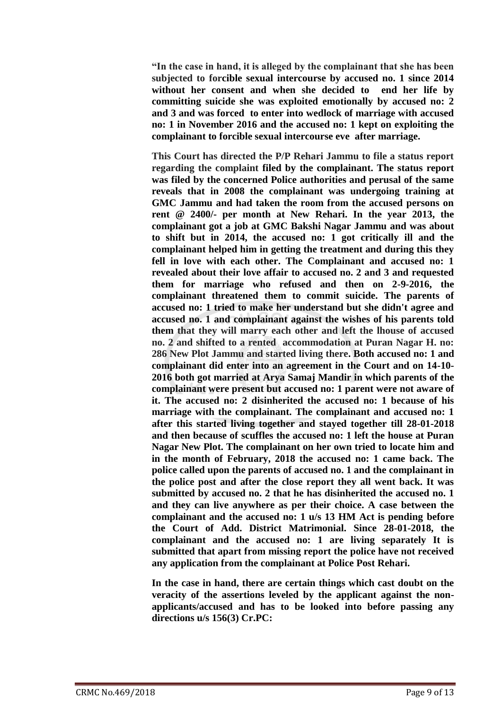**"In the case in hand, it is alleged by the complainant that she has been subjected to forcible sexual intercourse by accused no. 1 since 2014 without her consent and when she decided to end her life by committing suicide she was exploited emotionally by accused no: 2 and 3 and was forced to enter into wedlock of marriage with accused no: 1 in November 2016 and the accused no: 1 kept on exploiting the complainant to forcible sexual intercourse eve after marriage.**

**This Court has directed the P/P Rehari Jammu to file a status report regarding the complaint filed by the complainant. The status report was filed by the concerned Police authorities and perusal of the same reveals that in 2008 the complainant was undergoing training at GMC Jammu and had taken the room from the accused persons on rent @ 2400/- per month at New Rehari. In the year 2013, the complainant got a job at GMC Bakshi Nagar Jammu and was about to shift but in 2014, the accused no: 1 got critically ill and the complainant helped him in getting the treatment and during this they fell in love with each other. The Complainant and accused no: 1 revealed about their love affair to accused no. 2 and 3 and requested them for marriage who refused and then on 2-9-2016, the complainant threatened them to commit suicide. The parents of accused no: 1 tried to make her understand but she didn't agree and accused no. 1 and complainant against the wishes of his parents told them that they will marry each other and left the lhouse of accused no. 2 and shifted to a rented accommodation at Puran Nagar H. no: 286 New Plot Jammu and started living there. Both accused no: 1 and complainant did enter into an agreement in the Court and on 14-10- 2016 both got married at Arya Samaj Mandir in which parents of the complainant were present but accused no: 1 parent were not aware of it. The accused no: 2 disinherited the accused no: 1 because of his marriage with the complainant. The complainant and accused no: 1 after this started living together and stayed together till 28-01-2018 and then because of scuffles the accused no: 1 left the house at Puran Nagar New Plot. The complainant on her own tried to locate him and in the month of February, 2018 the accused no: 1 came back. The police called upon the parents of accused no. 1 and the complainant in the police post and after the close report they all went back. It was submitted by accused no. 2 that he has disinherited the accused no. 1 and they can live anywhere as per their choice. A case between the complainant and the accused no: 1 u/s 13 HM Act is pending before the Court of Add. District Matrimonial. Since 28-01-2018, the complainant and the accused no: 1 are living separately It is submitted that apart from missing report the police have not received any application from the complainant at Police Post Rehari.**

**In the case in hand, there are certain things which cast doubt on the veracity of the assertions leveled by the applicant against the nonapplicants/accused and has to be looked into before passing any directions u/s 156(3) Cr.PC:**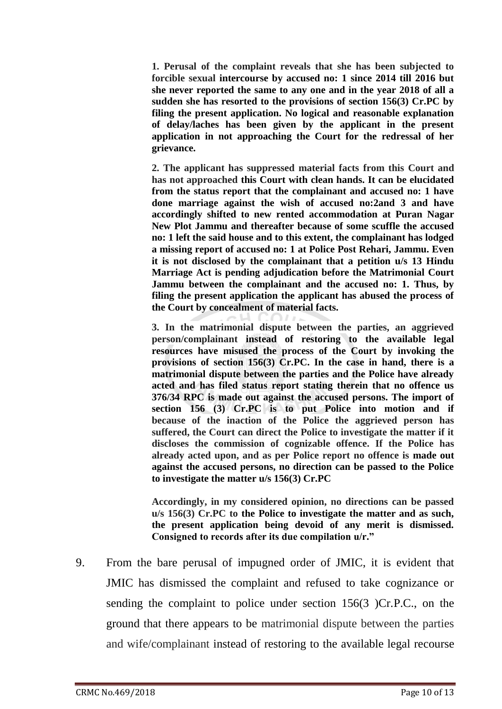**1. Perusal of the complaint reveals that she has been subjected to forcible sexual intercourse by accused no: 1 since 2014 till 2016 but she never reported the same to any one and in the year 2018 of all a sudden she has resorted to the provisions of section 156(3) Cr.PC by filing the present application. No logical and reasonable explanation of delay/laches has been given by the applicant in the present application in not approaching the Court for the redressal of her grievance.**

**2. The applicant has suppressed material facts from this Court and has not approached this Court with clean hands. It can be elucidated from the status report that the complainant and accused no: 1 have done marriage against the wish of accused no:2and 3 and have accordingly shifted to new rented accommodation at Puran Nagar New Plot Jammu and thereafter because of some scuffle the accused no: 1 left the said house and to this extent, the complainant has lodged a missing report of accused no: 1 at Police Post Rehari, Jammu. Even it is not disclosed by the complainant that a petition u/s 13 Hindu Marriage Act is pending adjudication before the Matrimonial Court Jammu between the complainant and the accused no: 1. Thus, by filing the present application the applicant has abused the process of the Court by concealment of material facts.**

**3. In the matrimonial dispute between the parties, an aggrieved person/complainant instead of restoring to the available legal resources have misused the process of the Court by invoking the provisions of section 156(3) Cr.PC. In the case in hand, there is a matrimonial dispute between the parties and the Police have already acted and has filed status report stating therein that no offence us 376/34 RPC is made out against the accused persons. The import of section 156 (3) Cr.PC is to put Police into motion and if because of the inaction of the Police the aggrieved person has suffered, the Court can direct the Police to investigate the matter if it discloses the commission of cognizable offence. If the Police has already acted upon, and as per Police report no offence is made out against the accused persons, no direction can be passed to the Police to investigate the matter u/s 156(3) Cr.PC**

**Accordingly, in my considered opinion, no directions can be passed u/s 156(3) Cr.PC to the Police to investigate the matter and as such, the present application being devoid of any merit is dismissed. Consigned to records after its due compilation u/r."**

9. From the bare perusal of impugned order of JMIC, it is evident that JMIC has dismissed the complaint and refused to take cognizance or sending the complaint to police under section 156(3 )Cr.P.C., on the ground that there appears to be matrimonial dispute between the parties and wife/complainant instead of restoring to the available legal recourse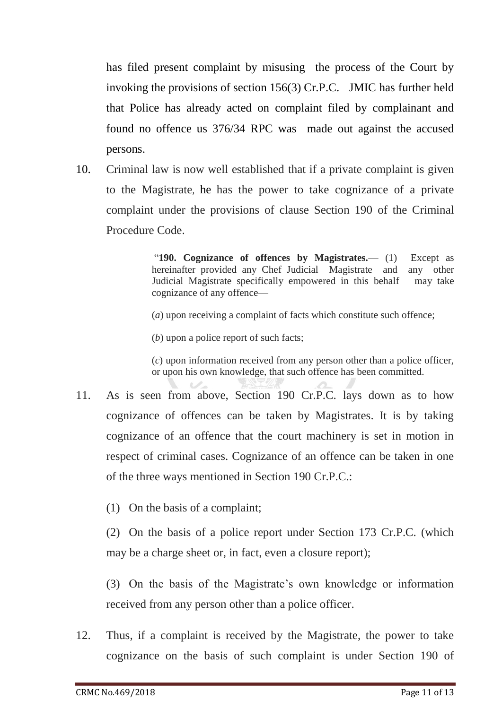has filed present complaint by misusing the process of the Court by invoking the provisions of section 156(3) Cr.P.C. JMIC has further held that Police has already acted on complaint filed by complainant and found no offence us 376/34 RPC was made out against the accused persons.

10. Criminal law is now well established that if a private complaint is given to the Magistrate, he has the power to take cognizance of a private complaint under the provisions of clause Section 190 of the Criminal Procedure Code.

> "**190. Cognizance of offences by Magistrates.**— (1) Except as hereinafter provided any Chef Judicial Magistrate and any other Judicial Magistrate specifically empowered in this behalf may take cognizance of any offence—

(*a*) upon receiving a complaint of facts which constitute such offence;

(*b*) upon a police report of such facts;

(*c*) upon information received from any person other than a police officer, or upon his own knowledge, that such offence has been committed.

- 11. As is seen from above, Section 190 Cr.P.C. lays down as to how cognizance of offences can be taken by Magistrates. It is by taking cognizance of an offence that the court machinery is set in motion in respect of criminal cases. Cognizance of an offence can be taken in one of the three ways mentioned in Section 190 Cr.P.C.:
	- (1)On the basis of a complaint;

(2)On the basis of a police report under Section 173 Cr.P.C. (which may be a charge sheet or, in fact, even a closure report);

(3)On the basis of the Magistrate's own knowledge or information received from any person other than a police officer.

12. Thus, if a complaint is received by the Magistrate, the power to take cognizance on the basis of such complaint is under Section 190 of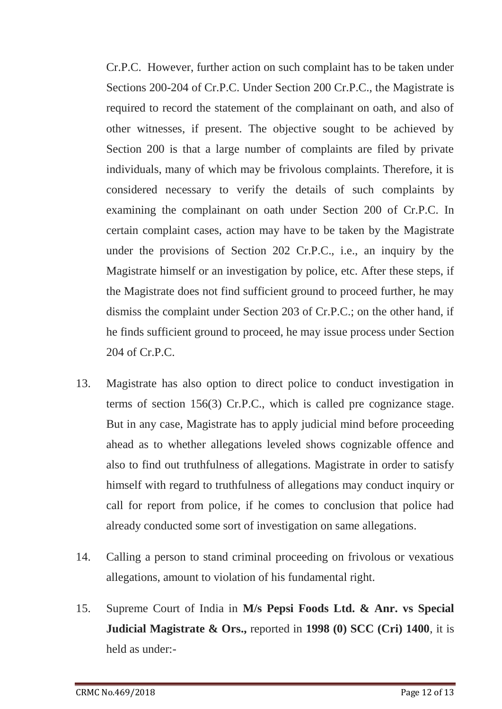Cr.P.C. However, further action on such complaint has to be taken under Sections 200-204 of Cr.P.C. Under Section 200 Cr.P.C., the Magistrate is required to record the statement of the complainant on oath, and also of other witnesses, if present. The objective sought to be achieved by Section 200 is that a large number of complaints are filed by private individuals, many of which may be frivolous complaints. Therefore, it is considered necessary to verify the details of such complaints by examining the complainant on oath under Section 200 of Cr.P.C. In certain complaint cases, action may have to be taken by the Magistrate under the provisions of Section 202 Cr.P.C., i.e., an inquiry by the Magistrate himself or an investigation by police, etc. After these steps, if the Magistrate does not find sufficient ground to proceed further, he may dismiss the complaint under Section 203 of Cr.P.C.; on the other hand, if he finds sufficient ground to proceed, he may issue process under Section 204 of Cr.P.C.

- 13. Magistrate has also option to direct police to conduct investigation in terms of section 156(3) Cr.P.C., which is called pre cognizance stage. But in any case, Magistrate has to apply judicial mind before proceeding ahead as to whether allegations leveled shows cognizable offence and also to find out truthfulness of allegations. Magistrate in order to satisfy himself with regard to truthfulness of allegations may conduct inquiry or call for report from police, if he comes to conclusion that police had already conducted some sort of investigation on same allegations.
- 14. Calling a person to stand criminal proceeding on frivolous or vexatious allegations, amount to violation of his fundamental right.
- 15. Supreme Court of India in **M/s Pepsi Foods Ltd. & Anr. vs Special Judicial Magistrate & Ors.,** reported in **1998 (0) SCC (Cri) 1400**, it is held as under:-